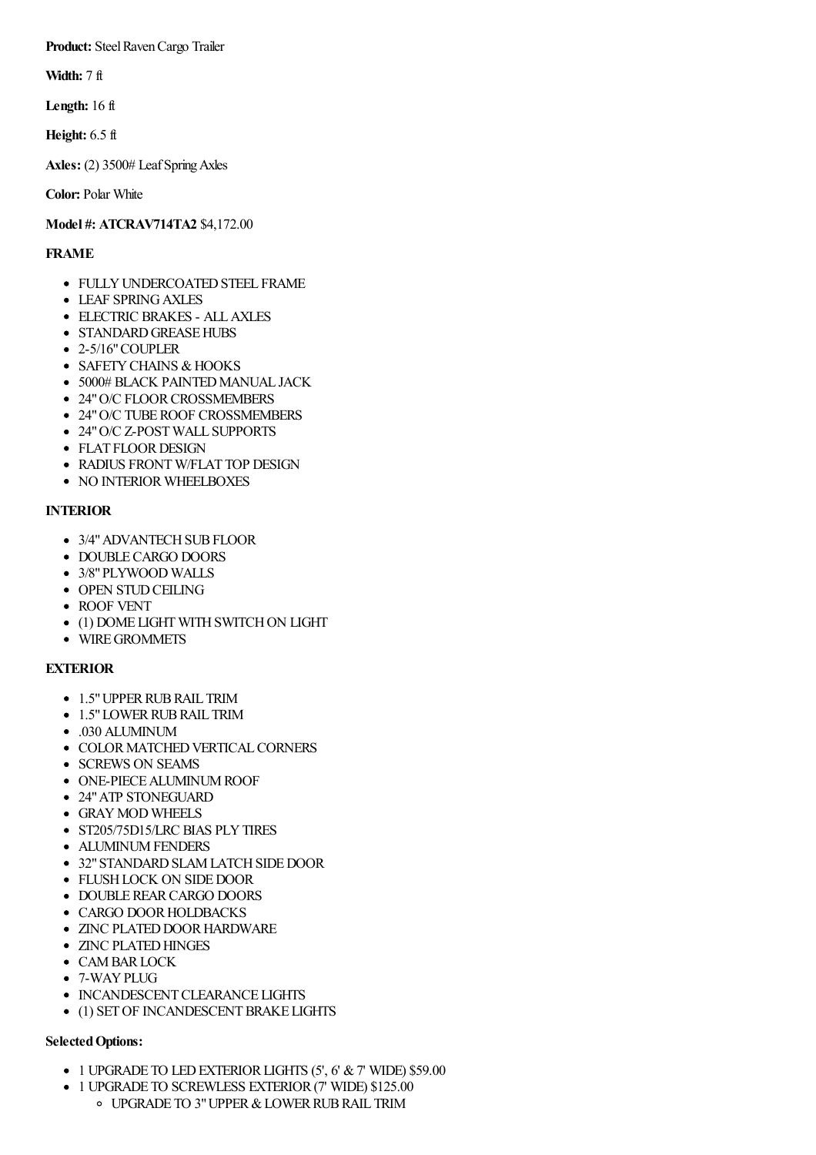**Product:** Steel Raven Cargo Trailer

**Width:** 7 ft

**Length:** 16 ft

**Height:** 6.5 ft

**Axles:** (2) 3500# LeafSpringAxles

**Color:** Polar White

## **Model #: ATCRAV714TA2** \$4,172.00

## **FRAME**

- FULLY UNDERCOATED STEEL FRAME
- LEAF SPRINGAXLES
- ELECTRIC BRAKES ALLAXLES
- STANDARD GREASE HUBS
- 2-5/16"COUPLER
- SAFETY CHAINS & HOOKS
- 5000# BLACK PAINTED MANUAL JACK
- 24" O/C FLOOR CROSSMEMBERS
- 24" O/C TUBE ROOF CROSSMEMBERS
- 24" O/C Z-POST WALL SUPPORTS
- FLAT FLOOR DESIGN
- RADIUS FRONT W/FLAT TOP DESIGN
- NO INTERIOR WHEELBOXES

## **INTERIOR**

- 3/4" ADVANTECH SUB FLOOR
- DOUBLE CARGO DOORS
- 3/8"PLYWOOD WALLS
- OPEN STUD CEILING
- ROOF VENT
- (1) DOME LIGHT WITH SWITCH ON LIGHT
- WIRE GROMMETS

# **EXTERIOR**

- 1.5" UPPER RUB RAIL TRIM
- 1.5" LOWER RUB RAIL TRIM
- .030 ALUMINUM
- COLOR MATCHED VERTICAL CORNERS
- SCREWS ON SEAMS
- **ONE-PIECE ALUMINUM ROOF**
- 24"ATP STONEGUARD
- GRAYMOD WHEELS
- ST205/75D15/LRC BIAS PLY TIRES
- ALUMINUM FENDERS
- 32" STANDARD SLAM LATCH SIDE DOOR
- FLUSH LOCK ON SIDE DOOR
- DOUBLEREARCARGO DOORS
- CARGO DOOR HOLDBACKS
- ZINC PLATED DOOR HARDWARE
- ZINC PLATED HINGES
- CAM BAR LOCK
- 7-WAY PLUG
- INCANDESCENT CLEARANCE LIGHTS
- (1) SET OF INCANDESCENT BRAKE LIGHTS

### **SelectedOptions:**

- $\bullet$  1 UPGRADE TO LED EXTERIOR LIGHTS (5', 6' & 7' WIDE) \$59.00
- 1 UPGRADE TO SCREWLESS EXTERIOR(7' WIDE) \$125.00
	- o UPGRADE TO 3" UPPER & LOWER RUB RAIL TRIM